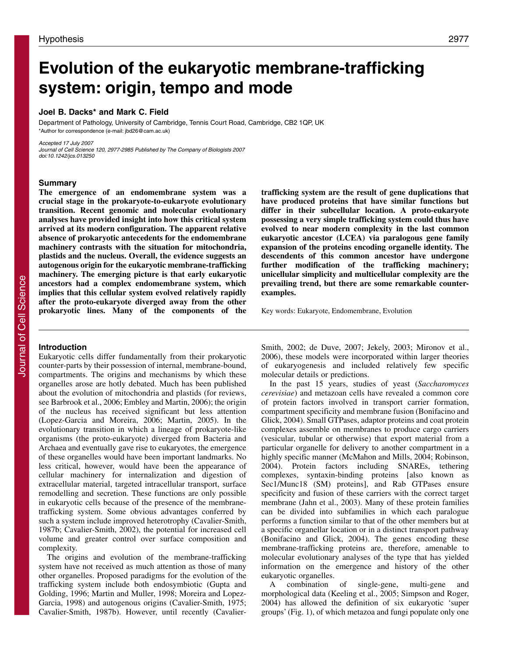# **Evolution of the eukaryotic membrane-trafficking system: origin, tempo and mode**

## **Joel B. Dacks\* and Mark C. Field**

Department of Pathology, University of Cambridge, Tennis Court Road, Cambridge, CB2 1QP, UK \*Author for correspondence (e-mail: jbd26@cam.ac.uk)

Accepted 17 July 2007 Journal of Cell Science 120, 2977-2985 Published by The Company of Biologists 2007 doi:10.1242/jcs.013250

#### **Summary**

**The emergence of an endomembrane system was a crucial stage in the prokaryote-to-eukaryote evolutionary transition. Recent genomic and molecular evolutionary analyses have provided insight into how this critical system arrived at its modern configuration. The apparent relative absence of prokaryotic antecedents for the endomembrane machinery contrasts with the situation for mitochondria, plastids and the nucleus. Overall, the evidence suggests an autogenous origin for the eukaryotic membrane-trafficking machinery. The emerging picture is that early eukaryotic ancestors had a complex endomembrane system, which implies that this cellular system evolved relatively rapidly after the proto-eukaryote diverged away from the other prokaryotic lines. Many of the components of the**

## **trafficking system are the result of gene duplications that have produced proteins that have similar functions but differ in their subcellular location. A proto-eukaryote possessing a very simple trafficking system could thus have evolved to near modern complexity in the last common eukaryotic ancestor (LCEA) via paralogous gene family expansion of the proteins encoding organelle identity. The descendents of this common ancestor have undergone further modification of the trafficking machinery; unicellular simplicity and multicellular complexity are the prevailing trend, but there are some remarkable counterexamples.**

Key words: Eukaryote, Endomembrane, Evolution

## **Introduction**

Eukaryotic cells differ fundamentally from their prokaryotic counter-parts by their possession of internal, membrane-bound, compartments. The origins and mechanisms by which these organelles arose are hotly debated. Much has been published about the evolution of mitochondria and plastids (for reviews, see Barbrook et al., 2006; Embley and Martin, 2006); the origin of the nucleus has received significant but less attention (Lopez-Garcia and Moreira, 2006; Martin, 2005). In the evolutionary transition in which a lineage of prokaryote-like organisms (the proto-eukaryote) diverged from Bacteria and Archaea and eventually gave rise to eukaryotes, the emergence of these organelles would have been important landmarks. No less critical, however, would have been the appearance of cellular machinery for internalization and digestion of extracellular material, targeted intracellular transport, surface remodelling and secretion. These functions are only possible in eukaryotic cells because of the presence of the membranetrafficking system. Some obvious advantages conferred by such a system include improved heterotrophy (Cavalier-Smith, 1987b; Cavalier-Smith, 2002), the potential for increased cell volume and greater control over surface composition and complexity.

The origins and evolution of the membrane-trafficking system have not received as much attention as those of many other organelles. Proposed paradigms for the evolution of the trafficking system include both endosymbiotic (Gupta and Golding, 1996; Martin and Muller, 1998; Moreira and Lopez-Garcia, 1998) and autogenous origins (Cavalier-Smith, 1975; Cavalier-Smith, 1987b). However, until recently (CavalierSmith, 2002; de Duve, 2007; Jekely, 2003; Mironov et al., 2006), these models were incorporated within larger theories of eukaryogenesis and included relatively few specific molecular details or predictions.

In the past 15 years, studies of yeast (*Saccharomyces cerevisiae*) and metazoan cells have revealed a common core of protein factors involved in transport carrier formation, compartment specificity and membrane fusion (Bonifacino and Glick, 2004). Small GTPases, adaptor proteins and coat protein complexes assemble on membranes to produce cargo carriers (vesicular, tubular or otherwise) that export material from a particular organelle for delivery to another compartment in a highly specific manner (McMahon and Mills, 2004; Robinson, 2004). Protein factors including SNAREs, tethering complexes, syntaxin-binding proteins [also known as Sec1/Munc18 (SM) proteins], and Rab GTPases ensure specificity and fusion of these carriers with the correct target membrane (Jahn et al., 2003). Many of these protein families can be divided into subfamilies in which each paralogue performs a function similar to that of the other members but at a specific organellar location or in a distinct transport pathway (Bonifacino and Glick, 2004). The genes encoding these membrane-trafficking proteins are, therefore, amenable to molecular evolutionary analyses of the type that has yielded information on the emergence and history of the other eukaryotic organelles.

A combination of single-gene, multi-gene and morphological data (Keeling et al., 2005; Simpson and Roger, 2004) has allowed the definition of six eukaryotic 'super groups' (Fig. 1), of which metazoa and fungi populate only one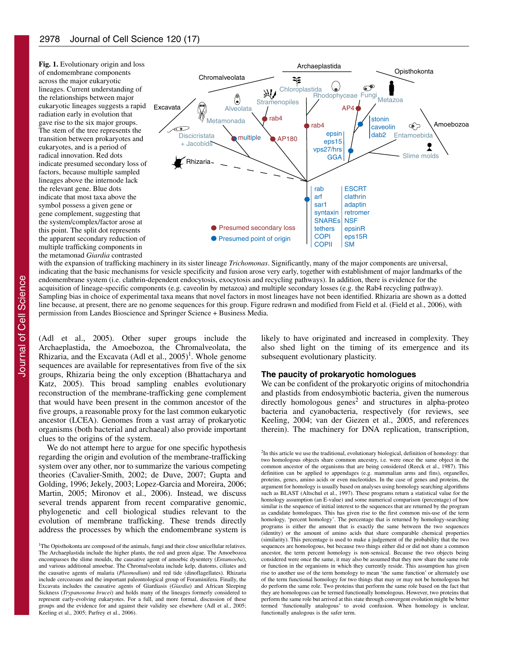

with the expansion of trafficking machinery in its sister lineage *Trichomonas*. Significantly, many of the major components are universal, indicating that the basic mechanisms for vesicle specificity and fusion arose very early, together with establishment of major landmarks of the endomembrane system (i.e. clathrin-dependent endocytosis, exocytosis and recycling pathways). In addition, there is evidence for the acquisition of lineage-specific components (e.g. caveolin by metazoa) and multiple secondary losses (e.g. the Rab4 recycling pathway). Sampling bias in choice of experimental taxa means that novel factors in most lineages have not been identified. Rhizaria are shown as a dotted line because, at present, there are no genome sequences for this group. Figure redrawn and modified from Field et al. (Field et al., 2006), with permission from Landes Bioscience and Springer Science + Business Media.

(Adl et al., 2005). Other super groups include the Archaeplastida, the Amoebozoa, the Chromalveolata, the Rhizaria, and the Excavata (Adl et al.,  $2005$ )<sup>1</sup>. Whole genome sequences are available for representatives from five of the six groups, Rhizaria being the only exception (Bhattacharya and Katz, 2005). This broad sampling enables evolutionary reconstruction of the membrane-trafficking gene complement that would have been present in the common ancestor of the five groups, a reasonable proxy for the last common eukaryotic ancestor (LCEA). Genomes from a vast array of prokaryotic organisms (both bacterial and archaeal) also provide important clues to the origins of the system.

We do not attempt here to argue for one specific hypothesis regarding the origin and evolution of the membrane-trafficking system over any other, nor to summarize the various competing theories (Cavalier-Smith, 2002; de Duve, 2007; Gupta and Golding, 1996; Jekely, 2003; Lopez-Garcia and Moreira, 2006; Martin, 2005; Mironov et al., 2006). Instead, we discuss several trends apparent from recent comparative genomic, phylogenetic and cell biological studies relevant to the evolution of membrane trafficking. These trends directly address the processes by which the endomembrane system is

likely to have originated and increased in complexity. They also shed light on the timing of its emergence and its subsequent evolutionary plasticity.

## **The paucity of prokaryotic homologues**

We can be confident of the prokaryotic origins of mitochondria and plastids from endosymbiotic bacteria, given the numerous directly homologous genes<sup>2</sup> and structures in alpha-proteo bacteria and cyanobacteria, respectively (for reviews, see Keeling, 2004; van der Giezen et al., 2005, and references therein). The machinery for DNA replication, transcription,

<sup>2</sup>In this article we use the traditional, evolutionary biological, definition of homology: that two homologous objects share common ancestry, i.e. were once the same object in the common ancestor of the organisms that are being considered (Reeck et al., 1987). This definition can be applied to appendages (e.g. mammalian arms and fins), organelles, proteins, genes, amino acids or even nucleotides. In the case of genes and proteins, the argument for homology is usually based on analyses using homology searching algorithms such as BLAST (Altschul et al., 1997). These programs return a statistical value for the homology assumption (an E-value) and some numerical comparison (percentage) of how similar is the sequence of initial interest to the sequences that are returned by the program as candidate homologues. This has given rise to the first common mis-use of the term homology, 'percent homology'. The percentage that is returned by homology-searching programs is either the amount that is exactly the same between the two sequences (identity) or the amount of amino acids that share comparable chemical properties (similarity). This percentage is used to make a judgement of the probability that the two sequences are homologous, but because two things either did or did not share a common ancestor, the term percent homology is non-sensical. Because the two objects being considered were once the same, it may also be assumed that they now share the same role or function in the organisms in which they currently reside. This assumption has given rise to another use of the term homology to mean 'the same function' or alternately use of the term functional homology for two things that may or may not be homologous but do perform the same role. Two proteins that perform the same role based on the fact that they are homologous can be termed functionally homologous. However, two proteins that perform the same role but arrived at this state through convergent evolution might be better termed 'functionally analogous' to avoid confusion. When homology is unclear, functionally analogous is the safer term.

<sup>&</sup>lt;sup>1</sup>The Opisthokonta are composed of the animals, fungi and their close unicellular relatives. The Archaeplastida include the higher plants, the red and green algae. The Amoebozoa encompasses the slime moulds, the causative agent of amoebic dysentery (*Entamoeba*), and various additional amoebae. The Chromalveolata include kelp, diatoms, ciliates and the causative agents of malaria (*Plasmodium*) and red tide (dinoflagellates). Rhizaria include cercozoans and the important paleontological group of Foraminifera. Finally, the Excavata includes the causative agents of Giardiasis (*Giardia*) and African Sleeping Sickness (*Trypanosoma brucei*) and holds many of the lineages formerly considered to represent early-evolving eukaryotes. For a full, and more formal, discussion of these groups and the evidence for and against their validity see elsewhere (Adl et al., 2005; Keeling et al., 2005; Parfrey et al., 2006).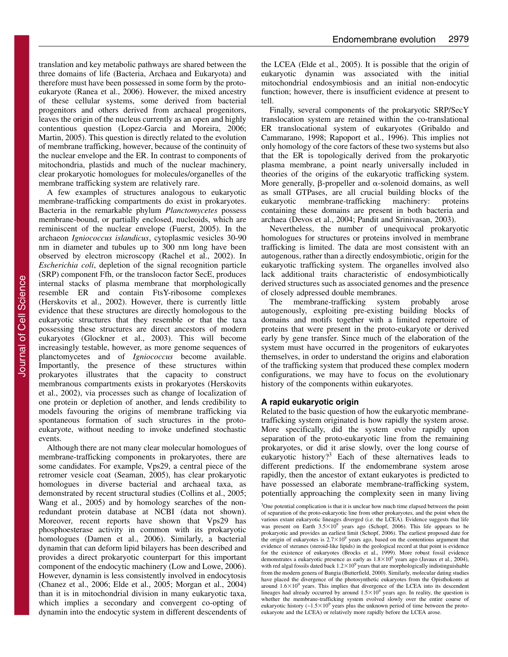translation and key metabolic pathways are shared between the three domains of life (Bacteria, Archaea and Eukaryota) and therefore must have been possessed in some form by the protoeukaryote (Ranea et al., 2006). However, the mixed ancestry of these cellular systems, some derived from bacterial progenitors and others derived from archaeal progenitors, leaves the origin of the nucleus currently as an open and highly contentious question (Lopez-Garcia and Moreira, 2006; Martin, 2005). This question is directly related to the evolution of membrane trafficking, however, because of the continuity of the nuclear envelope and the ER. In contrast to components of mitochondria, plastids and much of the nuclear machinery, clear prokaryotic homologues for molecules/organelles of the membrane trafficking system are relatively rare.

A few examples of structures analogous to eukaryotic membrane-trafficking compartments do exist in prokaryotes. Bacteria in the remarkable phylum *Planctomycetes* possess membrane-bound, or partially enclosed, nucleoids, which are reminiscent of the nuclear envelope (Fuerst, 2005). In the archaeon *Igniococcus islandicus*, cytoplasmic vesicles 30-90 nm in diameter and tubules up to 300 nm long have been observed by electron microscopy (Rachel et al., 2002). In *Escherichia coli*, depletion of the signal recognition particle (SRP) component Ffh, or the translocon factor SecE, produces internal stacks of plasma membrane that morphologically resemble ER and contain FtsY-ribosome complexes (Herskovits et al., 2002). However, there is currently little evidence that these structures are directly homologous to the eukaryotic structures that they resemble or that the taxa possessing these structures are direct ancestors of modern eukaryotes (Glockner et al., 2003). This will become increasingly testable, however, as more genome sequences of planctomycetes and of *Igniococcus* become available. Importantly, the presence of these structures within prokaryotes illustrates that the capacity to construct membranous compartments exists in prokaryotes (Herskovits et al., 2002), via processes such as change of localization of one protein or depletion of another, and lends credibility to models favouring the origins of membrane trafficking via spontaneous formation of such structures in the protoeukaryote, without needing to invoke undefined stochastic events.

Although there are not many clear molecular homologues of membrane-trafficking components in prokaryotes, there are some candidates. For example, Vps29, a central piece of the retromer vesicle coat (Seaman, 2005), has clear prokaryotic homologues in diverse bacterial and archaeal taxa, as demonstrated by recent structural studies (Collins et al., 2005; Wang et al., 2005) and by homology searches of the nonredundant protein database at NCBI (data not shown). Moreover, recent reports have shown that Vps29 has phosphoesterase activity in common with its prokaryotic homologues (Damen et al., 2006). Similarly, a bacterial dynamin that can deform lipid bilayers has been described and provides a direct prokaryotic counterpart for this important component of the endocytic machinery (Low and Lowe, 2006). However, dynamin is less consistently involved in endocytosis (Chanez et al., 2006; Elde et al., 2005; Morgan et al., 2004) than it is in mitochondrial division in many eukaryotic taxa, which implies a secondary and convergent co-opting of dynamin into the endocytic system in different descendents of

the LCEA (Elde et al., 2005). It is possible that the origin of eukaryotic dynamin was associated with the initial mitochondrial endosymbiosis and an initial non-endocytic function; however, there is insufficient evidence at present to tell.

Finally, several components of the prokaryotic SRP/SecY translocation system are retained within the co-translational ER translocational system of eukaryotes (Gribaldo and Cammarano, 1998; Rapoport et al., 1996). This implies not only homology of the core factors of these two systems but also that the ER is topologically derived from the prokaryotic plasma membrane, a point nearly universally included in theories of the origins of the eukaryotic trafficking system. More generally,  $\beta$ -propeller and  $\alpha$ -solenoid domains, as well as small GTPases, are all crucial building blocks of the eukaryotic membrane-trafficking machinery: proteins containing these domains are present in both bacteria and archaea (Devos et al., 2004; Pandit and Srinivasan, 2003).

Nevertheless, the number of unequivocal prokaryotic homologues for structures or proteins involved in membrane trafficking is limited. The data are most consistent with an autogenous, rather than a directly endosymbiotic, origin for the eukaryotic trafficking system. The organelles involved also lack additional traits characteristic of endosymbiotically derived structures such as associated genomes and the presence of closely adpressed double membranes.

The membrane-trafficking system probably arose autogenously, exploiting pre-existing building blocks of domains and motifs together with a limited repertoire of proteins that were present in the proto-eukaryote or derived early by gene transfer. Since much of the elaboration of the system must have occurred in the progenitors of eukaryotes themselves, in order to understand the origins and elaboration of the trafficking system that produced these complex modern configurations, we may have to focus on the evolutionary history of the components within eukaryotes.

#### **A rapid eukaryotic origin**

Related to the basic question of how the eukaryotic membranetrafficking system originated is how rapidly the system arose. More specifically, did the system evolve rapidly upon separation of the proto-eukaryotic line from the remaining prokaryotes, or did it arise slowly, over the long course of eukaryotic history?3 Each of these alternatives leads to different predictions. If the endomembrane system arose rapidly, then the ancestor of extant eukaryotes is predicted to have possessed an elaborate membrane-trafficking system, potentially approaching the complexity seen in many living

<sup>3</sup>One potential complication is that it is unclear how much time elapsed between the point of separation of the proto-eukaryotic line from other prokaryotes, and the point when the various extant eukaryotic lineages diverged (i.e. the LCEA). Evidence suggests that life was present on Earth  $3.5 \times 10^9$  years ago (Schopf, 2006). This life appears to be prokaryotic and provides an earliest limit (Schopf, 2006). The earliest proposed date for the origin of eukaryotes is  $2.7 \times 10^9$  years ago, based on the contentious argument that evidence of steranes (steroid-like lipids) in the geological record at that point is evidence for the existence of eukaryotes (Brocks et al., 1999). More robust fossil evidence demonstrates a eukaryotic presence as early as  $1.8\times10^9$  years ago (Javaux et al., 2004), with red algal fossils dated back  $1.2 \times 10^9$  years that are morphologically indistinguishable from the modern genera of Bangia (Butterfield, 2000). Similarly, molecular dating studies have placed the divergence of the photosynthetic eukaryotes from the Opisthokonts at around  $1.6\times10^9$  years. This implies that divergence of the LCEA into its descendent lineages had already occurred by around  $1.5\times10^9$  years ago. In reality, the question is whether the membrane-trafficking system evolved slowly over the entire course of eukaryotic history ( $\sim$ 1.5 $\times$ 10<sup>9</sup> years plus the unknown period of time between the protoeukaryote and the LCEA) or relatively more rapidly before the LCEA arose.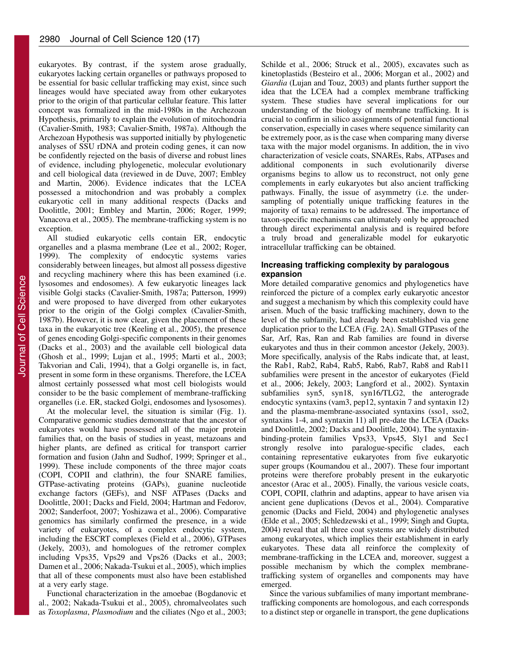eukaryotes. By contrast, if the system arose gradually, eukaryotes lacking certain organelles or pathways proposed to be essential for basic cellular trafficking may exist, since such lineages would have speciated away from other eukaryotes prior to the origin of that particular cellular feature. This latter concept was formalized in the mid-1980s in the Archezoan Hypothesis, primarily to explain the evolution of mitochondria (Cavalier-Smith, 1983; Cavalier-Smith, 1987a). Although the Archezoan Hypothesis was supported initially by phylogenetic analyses of SSU rDNA and protein coding genes, it can now be confidently rejected on the basis of diverse and robust lines of evidence, including phylogenetic, molecular evolutionary and cell biological data (reviewed in de Duve, 2007; Embley and Martin, 2006). Evidence indicates that the LCEA possessed a mitochondrion and was probably a complex eukaryotic cell in many additional respects (Dacks and Doolittle, 2001; Embley and Martin, 2006; Roger, 1999; Vanacova et al., 2005). The membrane-trafficking system is no exception.

All studied eukaryotic cells contain ER, endocytic organelles and a plasma membrane (Lee et al., 2002; Roger, 1999). The complexity of endocytic systems varies considerably between lineages, but almost all possess digestive and recycling machinery where this has been examined (i.e. lysosomes and endosomes). A few eukaryotic lineages lack visible Golgi stacks (Cavalier-Smith, 1987a; Patterson, 1999) and were proposed to have diverged from other eukaryotes prior to the origin of the Golgi complex (Cavalier-Smith, 1987b). However, it is now clear, given the placement of these taxa in the eukaryotic tree (Keeling et al., 2005), the presence of genes encoding Golgi-specific components in their genomes (Dacks et al., 2003) and the available cell biological data (Ghosh et al., 1999; Lujan et al., 1995; Marti et al., 2003; Takvorian and Cali, 1994), that a Golgi organelle is, in fact, present in some form in these organisms. Therefore, the LCEA almost certainly possessed what most cell biologists would consider to be the basic complement of membrane-trafficking organelles (i.e. ER, stacked Golgi, endosomes and lysosomes).

At the molecular level, the situation is similar (Fig. 1). Comparative genomic studies demonstrate that the ancestor of eukaryotes would have possessed all of the major protein families that, on the basis of studies in yeast, metazoans and higher plants, are defined as critical for transport carrier formation and fusion (Jahn and Sudhof, 1999; Springer et al., 1999). These include components of the three major coats (COPI, COPII and clathrin), the four SNARE families, GTPase-activating proteins (GAPs), guanine nucleotide exchange factors (GEFs), and NSF ATPases (Dacks and Doolittle, 2001; Dacks and Field, 2004; Hartman and Fedorov, 2002; Sanderfoot, 2007; Yoshizawa et al., 2006). Comparative genomics has similarly confirmed the presence, in a wide variety of eukaryotes, of a complex endocytic system, including the ESCRT complexes (Field et al., 2006), GTPases (Jekely, 2003), and homologues of the retromer complex including Vps35, Vps29 and Vps26 (Dacks et al., 2003; Damen et al., 2006; Nakada-Tsukui et al., 2005), which implies that all of these components must also have been established at a very early stage.

Functional characterization in the amoebae (Bogdanovic et al., 2002; Nakada-Tsukui et al., 2005), chromalveolates such as *Toxoplasma*, *Plasmodium* and the ciliates (Ngo et al., 2003; Schilde et al., 2006; Struck et al., 2005), excavates such as kinetoplastids (Besteiro et al., 2006; Morgan et al., 2002) and *Giardia* (Lujan and Touz, 2003) and plants further support the idea that the LCEA had a complex membrane trafficking system. These studies have several implications for our understanding of the biology of membrane trafficking. It is crucial to confirm in silico assignments of potential functional conservation, especially in cases where sequence similarity can be extremely poor, as is the case when comparing many diverse taxa with the major model organisms. In addition, the in vivo characterization of vesicle coats, SNAREs, Rabs, ATPases and additional components in such evolutionarily diverse organisms begins to allow us to reconstruct, not only gene complements in early eukaryotes but also ancient trafficking pathways. Finally, the issue of asymmetry (i.e. the undersampling of potentially unique trafficking features in the majority of taxa) remains to be addressed. The importance of taxon-specific mechanisms can ultimately only be approached through direct experimental analysis and is required before a truly broad and generalizable model for eukaryotic intracellular trafficking can be obtained.

## **Increasing trafficking complexity by paralogous expansion**

More detailed comparative genomics and phylogenetics have reinforced the picture of a complex early eukaryotic ancestor and suggest a mechanism by which this complexity could have arisen. Much of the basic trafficking machinery, down to the level of the subfamily, had already been established via gene duplication prior to the LCEA (Fig. 2A). Small GTPases of the Sar, Arf, Ras, Ran and Rab families are found in diverse eukaryotes and thus in their common ancestor (Jekely, 2003). More specifically, analysis of the Rabs indicate that, at least, the Rab1, Rab2, Rab4, Rab5, Rab6, Rab7, Rab8 and Rab11 subfamilies were present in the ancestor of eukaryotes (Field et al., 2006; Jekely, 2003; Langford et al., 2002). Syntaxin subfamilies syn5, syn18, syn16/TLG2, the anterograde endocytic syntaxins (vam3, pep12, syntaxin 7 and syntaxin 12) and the plasma-membrane-associated syntaxins (sso1, sso2, syntaxins 1-4, and syntaxin 11) all pre-date the LCEA (Dacks and Doolittle, 2002; Dacks and Doolittle, 2004). The syntaxinbinding-protein families Vps33, Vps45, Sly1 and Sec1 strongly resolve into paralogue-specific clades, each containing representative eukaryotes from five eukaryotic super groups (Koumandou et al., 2007). These four important proteins were therefore probably present in the eukaryotic ancestor (Arac et al., 2005). Finally, the various vesicle coats, COPI, COPII, clathrin and adaptins, appear to have arisen via ancient gene duplications (Devos et al., 2004). Comparative genomic (Dacks and Field, 2004) and phylogenetic analyses (Elde et al., 2005; Schledzewski et al., 1999; Singh and Gupta, 2004) reveal that all three coat systems are widely distributed among eukaryotes, which implies their establishment in early eukaryotes. These data all reinforce the complexity of membrane-trafficking in the LCEA and, moreover, suggest a possible mechanism by which the complex membranetrafficking system of organelles and components may have emerged.

Since the various subfamilies of many important membranetrafficking components are homologous, and each corresponds to a distinct step or organelle in transport, the gene duplications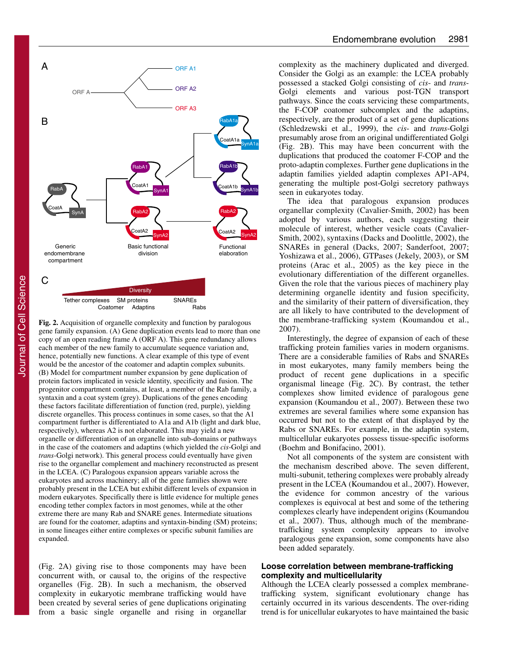

**Fig. 2.** Acquisition of organelle complexity and function by paralogous gene family expansion. (A) Gene duplication events lead to more than one copy of an open reading frame A (ORF A). This gene redundancy allows each member of the new family to accumulate sequence variation and, hence, potentially new functions. A clear example of this type of event would be the ancestor of the coatomer and adaptin complex subunits. (B) Model for compartment number expansion by gene duplication of protein factors implicated in vesicle identity, specificity and fusion. The progenitor compartment contains, at least, a member of the Rab family, a syntaxin and a coat system (grey). Duplications of the genes encoding these factors facilitate differentiation of function (red, purple), yielding discrete organelles. This process continues in some cases, so that the A1 compartment further is differentiated to A1a and A1b (light and dark blue, respectively), whereas A2 is not elaborated. This may yield a new organelle or differentiation of an organelle into sub-domains or pathways in the case of the coatomers and adaptins (which yielded the *cis*-Golgi and *trans*-Golgi network). This general process could eventually have given rise to the organellar complement and machinery reconstructed as present in the LCEA. (C) Paralogous expansion appears variable across the eukaryotes and across machinery; all of the gene families shown were probably present in the LCEA but exhibit different levels of expansion in modern eukaryotes. Specifically there is little evidence for multiple genes encoding tether complex factors in most genomes, while at the other extreme there are many Rab and SNARE genes. Intermediate situations are found for the coatomer, adaptins and syntaxin-binding (SM) proteins; in some lineages either entire complexes or specific subunit families are expanded.

(Fig. 2A) giving rise to those components may have been concurrent with, or causal to, the origins of the respective organelles (Fig. 2B). In such a mechanism, the observed complexity in eukaryotic membrane trafficking would have been created by several series of gene duplications originating from a basic single organelle and rising in organellar complexity as the machinery duplicated and diverged. Consider the Golgi as an example: the LCEA probably possessed a stacked Golgi consisting of *cis*- and *trans*-Golgi elements and various post-TGN transport pathways. Since the coats servicing these compartments, the F-COP coatomer subcomplex and the adaptins, respectively, are the product of a set of gene duplications (Schledzewski et al., 1999), the *cis*- and *trans*-Golgi presumably arose from an original undifferentiated Golgi (Fig. 2B). This may have been concurrent with the duplications that produced the coatomer F-COP and the proto-adaptin complexes. Further gene duplications in the adaptin families yielded adaptin complexes AP1-AP4, generating the multiple post-Golgi secretory pathways seen in eukaryotes today.

The idea that paralogous expansion produces organellar complexity (Cavalier-Smith, 2002) has been adopted by various authors, each suggesting their molecule of interest, whether vesicle coats (Cavalier-Smith, 2002), syntaxins (Dacks and Doolittle, 2002), the SNAREs in general (Dacks, 2007; Sanderfoot, 2007; Yoshizawa et al., 2006), GTPases (Jekely, 2003), or SM proteins (Arac et al., 2005) as the key piece in the evolutionary differentiation of the different organelles. Given the role that the various pieces of machinery play determining organelle identity and fusion specificity, and the similarity of their pattern of diversification, they are all likely to have contributed to the development of the membrane-trafficking system (Koumandou et al., 2007).

Interestingly, the degree of expansion of each of these trafficking protein families varies in modern organisms. There are a considerable families of Rabs and SNAREs in most eukaryotes, many family members being the product of recent gene duplications in a specific organismal lineage (Fig. 2C). By contrast, the tether complexes show limited evidence of paralogous gene expansion (Koumandou et al., 2007). Between these two extremes are several families where some expansion has occurred but not to the extent of that displayed by the Rabs or SNAREs. For example, in the adaptin system, multicellular eukaryotes possess tissue-specific isoforms (Boehm and Bonifacino, 2001).

Not all components of the system are consistent with the mechanism described above. The seven different, multi-subunit, tethering complexes were probably already present in the LCEA (Koumandou et al., 2007). However, the evidence for common ancestry of the various complexes is equivocal at best and some of the tethering complexes clearly have independent origins (Koumandou et al., 2007). Thus, although much of the membranetrafficking system complexity appears to involve paralogous gene expansion, some components have also been added separately.

## **Loose correlation between membrane-trafficking complexity and multicellularity**

Although the LCEA clearly possessed a complex membranetrafficking system, significant evolutionary change has certainly occurred in its various descendents. The over-riding trend is for unicellular eukaryotes to have maintained the basic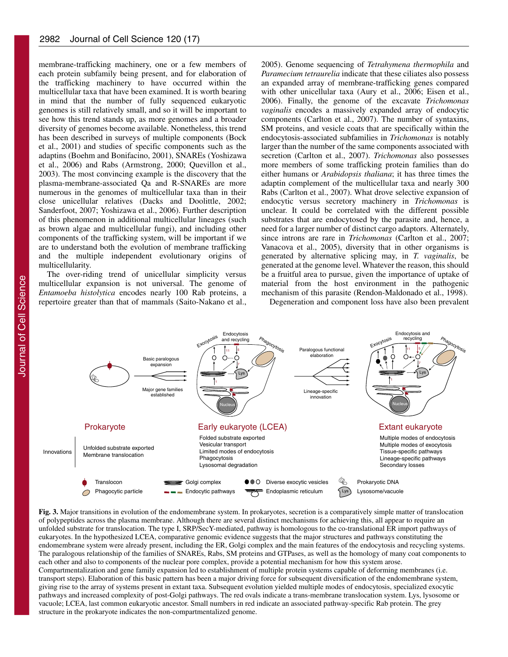membrane-trafficking machinery, one or a few members of each protein subfamily being present, and for elaboration of the trafficking machinery to have occurred within the multicellular taxa that have been examined. It is worth bearing in mind that the number of fully sequenced eukaryotic genomes is still relatively small, and so it will be important to see how this trend stands up, as more genomes and a broader diversity of genomes become available. Nonetheless, this trend has been described in surveys of multiple components (Bock et al., 2001) and studies of specific components such as the adaptins (Boehm and Bonifacino, 2001), SNAREs (Yoshizawa et al., 2006) and Rabs (Armstrong, 2000; Quevillon et al., 2003). The most convincing example is the discovery that the plasma-membrane-associated Qa and R-SNAREs are more numerous in the genomes of multicellular taxa than in their close unicellular relatives (Dacks and Doolittle, 2002; Sanderfoot, 2007; Yoshizawa et al., 2006). Further description of this phenomenon in additional multicellular lineages (such as brown algae and multicellular fungi), and including other components of the trafficking system, will be important if we are to understand both the evolution of membrane trafficking and the multiple independent evolutionary origins of multicellularity.

The over-riding trend of unicellular simplicity versus multicellular expansion is not universal. The genome of *Entamoeba histolytica* encodes nearly 100 Rab proteins, a repertoire greater than that of mammals (Saito-Nakano et al., 2005). Genome sequencing of *Tetrahymena thermophila* and *Paramecium tetraurelia* indicate that these ciliates also possess an expanded array of membrane-trafficking genes compared with other unicellular taxa (Aury et al., 2006; Eisen et al., 2006). Finally, the genome of the excavate *Trichomonas vaginalis* encodes a massively expanded array of endocytic components (Carlton et al., 2007). The number of syntaxins, SM proteins, and vesicle coats that are specifically within the endocytosis-associated subfamilies in *Trichomonas* is notably larger than the number of the same components associated with secretion (Carlton et al., 2007). *Trichomonas* also possesses more members of some trafficking protein families than do either humans or *Arabidopsis thaliana*; it has three times the adaptin complement of the multicellular taxa and nearly 300 Rabs (Carlton et al., 2007). What drove selective expansion of endocytic versus secretory machinery in *Trichomonas* is unclear. It could be correlated with the different possible substrates that are endocytosed by the parasite and, hence, a need for a larger number of distinct cargo adaptors. Alternately, since introns are rare in *Trichomonas* (Carlton et al., 2007; Vanacova et al., 2005), diversity that in other organisms is generated by alternative splicing may, in *T. vaginalis*, be generated at the genome level. Whatever the reason, this should be a fruitful area to pursue, given the importance of uptake of material from the host environment in the pathogenic mechanism of this parasite (Rendon-Maldonado et al., 1998).

Degeneration and component loss have also been prevalent



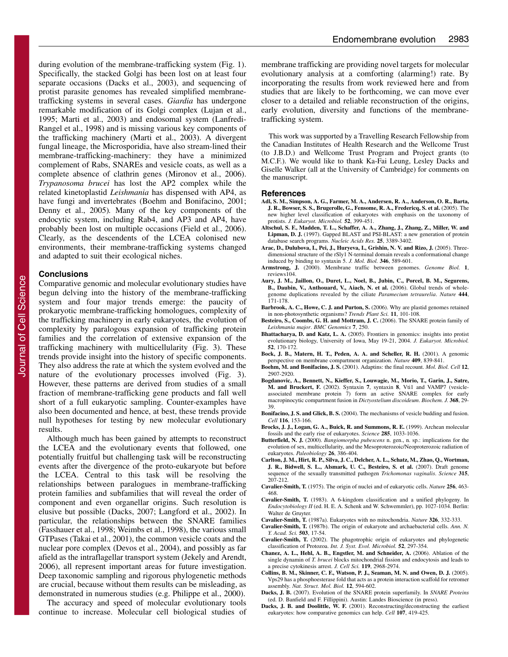during evolution of the membrane-trafficking system (Fig. 1). Specifically, the stacked Golgi has been lost on at least four separate occasions (Dacks et al., 2003), and sequencing of protist parasite genomes has revealed simplified membranetrafficking systems in several cases. *Giardia* has undergone remarkable modification of its Golgi complex (Lujan et al., 1995; Marti et al., 2003) and endosomal system (Lanfredi-Rangel et al., 1998) and is missing various key components of the trafficking machinery (Marti et al., 2003). A divergent fungal lineage, the Microsporidia, have also stream-lined their membrane-trafficking-machinery: they have a minimized complement of Rabs, SNAREs and vesicle coats, as well as a complete absence of clathrin genes (Mironov et al., 2006). *Trypanosoma brucei* has lost the AP2 complex while the related kinetoplastid *Leishmania* has dispensed with AP4, as have fungi and invertebrates (Boehm and Bonifacino, 2001; Denny et al., 2005)*.* Many of the key components of the endocytic system, including Rab4, and AP3 and AP4, have probably been lost on multiple occasions (Field et al., 2006). Clearly, as the descendents of the LCEA colonised new environments, their membrane-trafficking systems changed and adapted to suit their ecological niches.

### **Conclusions**

Comparative genomic and molecular evolutionary studies have begun delving into the history of the membrane-trafficking system and four major trends emerge: the paucity of prokaryotic membrane-trafficking homologues, complexity of the trafficking machinery in early eukaryotes, the evolution of complexity by paralogous expansion of trafficking protein families and the correlation of extensive expansion of the trafficking machinery with multicellularity (Fig. 3). These trends provide insight into the history of specific components. They also address the rate at which the system evolved and the nature of the evolutionary processes involved (Fig. 3). However, these patterns are derived from studies of a small fraction of membrane-trafficking gene products and fall well short of a full eukaryotic sampling. Counter-examples have also been documented and hence, at best, these trends provide null hypotheses for testing by new molecular evolutionary results.

Although much has been gained by attempts to reconstruct the LCEA and the evolutionary events that followed, one potentially fruitful but challenging task will be reconstructing events after the divergence of the proto-eukaryote but before the LCEA. Central to this task will be resolving the relationships between paralogues in membrane-trafficking protein families and subfamilies that will reveal the order of component and even organellar origins. Such resolution is elusive but possible (Dacks, 2007; Langford et al., 2002). In particular, the relationships between the SNARE families (Fasshauer et al., 1998; Weimbs et al., 1998), the various small GTPases (Takai et al., 2001), the common vesicle coats and the nuclear pore complex (Devos et al., 2004), and possibly as far afield as the intraflagellar transport system (Jekely and Arendt, 2006), all represent important areas for future investigation. Deep taxonomic sampling and rigorous phylogenetic methods are crucial, because without them results can be misleading, as demonstrated in numerous studies (e.g. Philippe et al., 2000).

The accuracy and speed of molecular evolutionary tools continue to increase. Molecular cell biological studies of membrane trafficking are providing novel targets for molecular evolutionary analysis at a comforting (alarming!) rate. By incorporating the results from work reviewed here and from studies that are likely to be forthcoming, we can move ever closer to a detailed and reliable reconstruction of the origins, early evolution, diversity and functions of the membranetrafficking system.

This work was supported by a Travelling Research Fellowship from the Canadian Institutes of Health Research and the Wellcome Trust (to J.B.D.) and Wellcome Trust Program and Project grants (to M.C.F.). We would like to thank Ka-Fai Leung, Lesley Dacks and Giselle Walker (all at the University of Cambridge) for comments on the manuscript.

#### **References**

- **Adl, S. M., Simpson, A. G., Farmer, M. A., Andersen, R. A., Anderson, O. R., Barta, J. R., Bowser, S. S., Brugerolle, G., Fensome, R. A., Fredericq, S. et al.** (2005). The new higher level classification of eukaryotes with emphasis on the taxonomy of protists. *J. Eukaryot. Microbiol.* **52**, 399-451.
- **Altschul, S. F., Madden, T. L., Schaffer, A. A., Zhang, J., Zhang, Z., Miller, W. and Lipman, D. J.** (1997). Gapped BLAST and PSI-BLAST: a new generation of protein database search programs. *Nucleic Acids Res.* **25**, 3389-3402.
- **Arac, D., Dulubova, I., Pei, J., Huryeva, I., Grishin, N. V. and Rizo, J.** (2005). Threedimensional structure of the rSly1 N-terminal domain reveals a conformational change induced by binding to syntaxin 5. *J. Mol. Biol.* **346**, 589-601.
- **Armstrong, J.** (2000). Membrane traffic between genomes. *Genome Biol.* **1**, reviews104.
- **Aury, J. M., Jaillon, O., Duret, L., Noel, B., Jubin, C., Porcel, B. M., Segurens, B., Daubin, V., Anthouard, V., Aiach, N. et al.** (2006). Global trends of wholegenome duplications revealed by the ciliate *Paramecium tetraurelia*. *Nature* **444**, 171-178.
- **Barbrook, A. C., Howe, C. J. and Purton, S.** (2006). Why are plastid genomes retained in non-photosynthetic organisms? *Trends Plant Sci.* **11**, 101-108.
- **Besteiro, S., Coombs, G. H. and Mottram, J. C.** (2006). The SNARE protein family of *Leishmania major*. *BMC Genomics* **7**, 250.
- **Bhattacharya, D. and Katz, L. A.** (2005). Frontiers in genomics: insights into protist evolutionary biology, University of Iowa, May 19-21, 2004. *J. Eukaryot. Microbiol.* **52**, 170-172.
- **Bock, J. B., Matern, H. T., Peden, A. A. and Scheller, R. H.** (2001). A genomic perspective on membrane compartment organization. *Nature* **409**, 839-841.
- **Boehm, M. and Bonifacino, J. S.** (2001). Adaptins: the final recount. *Mol. Biol. Cell* **12**, 2907-2920.
- **Bogdanovic, A., Bennett, N., Kieffer, S., Louwagie, M., Morio, T., Garin, J., Satre, M. and Bruckert, F.** (2002). Syntaxin **7**, syntaxin **8**, Vti1 and VAMP7 (vesicleassociated membrane protein 7) form an active SNARE complex for early macropinocytic compartment fusion in *Dictyostelium discoideum*. *Biochem. J.* **368**, 29- 39.
- **Bonifacino, J. S. and Glick, B. S.** (2004). The mechanisms of vesicle budding and fusion. *Cell* **116**, 153-166.
- **Brocks, J. J., Logan, G. A., Buick, R. and Summons, R. E.** (1999). Archean molecular fossils and the early rise of eukaryotes. *Science* **285**, 1033-1036.
- **Butterfield, N. J.** (2000). *Bangiomorpha pubescens* n. gen., n. sp.: implications for the evolution of sex, multicellularity, and the Mesoproterozoic/Neoproterozoic radiation of eukaryotes. *Paleobiology* **26**, 386-404.
- **Carlton, J. M., Hirt, R. P., Silva, J. C., Delcher, A. L., Schatz, M., Zhao, Q., Wortman, J. R., Bidwell, S. L., Alsmark, U. C., Besteiro, S. et al.** (2007). Draft genome sequence of the sexually transmitted pathogen *Trichomonas vaginalis*. *Science* **315**, 207-212.
- **Cavalier-Smith, T.** (1975). The origin of nuclei and of eukaryotic cells. *Nature* **256**, 463- 468.
- **Cavalier-Smith, T.** (1983). A 6-kingdom classification and a unified phylogeny. In *Endocytobiology II* (ed. H. E. A. Schenk and W. Schwemmler), pp. 1027-1034. Berlin: Walter de Gruyter.
- **Cavalier-Smith, T.** (1987a). Eukaryotes with no mitochondria. *Nature* **326**, 332-333.
- **Cavalier-Smith, T.** (1987b). The origin of eukaryote and archaebacterial cells. *Ann. N. Y. Acad. Sci.* **503**, 17-54.
- **Cavalier-Smith, T.** (2002). The phagotrophic origin of eukaryotes and phylogenetic classification of Protozoa. *Int. J. Syst. Evol. Microbiol.* **52**, 297-354.
- **Chanez, A. L., Hehl, A. B., Engstler, M. and Schneider, A.** (2006). Ablation of the single dynamin of *T. brucei* blocks mitochondrial fission and endocytosis and leads to a precise cytokinesis arrest. *J. Cell Sci.* **119**, 2968-2974.
- **Collins, B. M., Skinner, C. F., Watson, P. J., Seaman, M. N. and Owen, D. J.** (2005). Vps29 has a phosphoesterase fold that acts as a protein interaction scaffold for retromer assembly. *Nat. Struct. Mol. Biol.* **12**, 594-602.
- **Dacks, J. B.** (2007). Evolution of the SNARE protein superfamily. In *SNARE Proteins* (ed. D. Banfield and F. Fillippini). Austin: Landes Bioscience (in press).
- **Dacks, J. B. and Doolittle, W. F.** (2001). Reconstructing/deconstructing the earliest eukaryotes: how comparative genomics can help. *Cell* **107**, 419-425.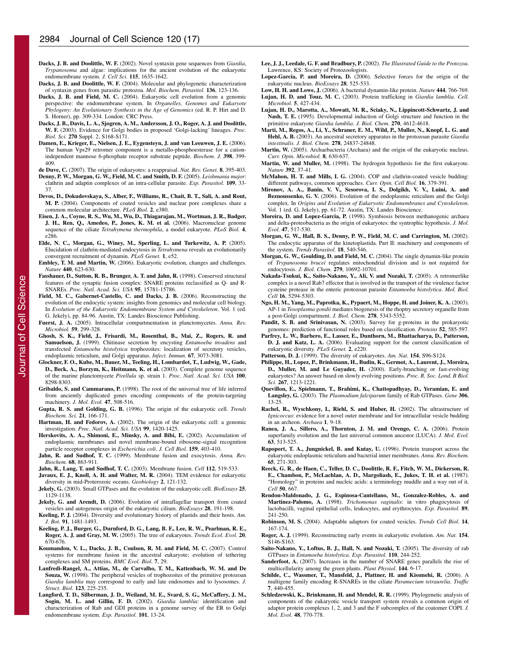- **Dacks, J. B. and Doolittle, W. F.** (2002). Novel syntaxin gene sequences from *Giardia*, *Trypanosoma* and algae: implications for the ancient evolution of the eukaryotic endomembrane system. *J. Cell Sci.* **115**, 1635-1642.
- **Dacks, J. B. and Doolittle, W. F.** (2004). Molecular and phylogenetic characterization of syntaxin genes from parasitic protozoa. *Mol. Biochem. Parasitol.* **136**, 123-136.
- **Dacks, J. B. and Field, M. C.** (2004). Eukaryotic cell evolution from a genomic perspective: the endomembrane system. In *Organelles, Genomes and Eukaryote Phylogeny: An Evolutionary Synthesis in the Age of Genomics* (ed. R. P. Hirt and D. S. Horner), pp. 309-334. London: CRC Press.
- **Dacks, J. B., Davis, L. A., Sjogren, A. M., Andersson, J. O., Roger, A. J. and Doolittle, W. F.** (2003). Evidence for Golgi bodies in proposed 'Golgi-lacking' lineages. *Proc. Biol. Sci.* **270** Suppl. 2, S168-S171.
- **Damen, E., Krieger, E., Nielsen, J. E., Eygensteyn, J. and van Leeuwen, J. E.** (2006). The human Vps29 retromer component is a metallo-phosphoesterase for a cationindependent mannose 6-phosphate receptor substrate peptide. *Biochem. J.* **398**, 399- 409.

**de Duve, C.** (2007). The origin of eukaryotes: a reappraisal. *Nat. Rev. Genet.* **8**, 395-403.

- **Denny, P. W., Morgan, G. W., Field, M. C. and Smith, D. F.** (2005). *Leishmania major*: clathrin and adaptin complexes of an intra-cellular parasite. *Exp. Parasitol.* **109**, 33- 37.
- **Devos, D., Dokudovskaya, S., Alber, F., Williams, R., Chait, B. T., Sali, A. and Rout, M. P.** (2004). Components of coated vesicles and nuclear pore complexes share a common molecular architecture. *PLoS Biol.* **2**, e380.
- **Eisen, J. A., Coyne, R. S., Wu, M., Wu, D., Thiagarajan, M., Wortman, J. R., Badger, J. H., Ren, Q., Amedeo, P., Jones, K. M. et al.** (2006). Macronuclear genome sequence of the ciliate *Tetrahymena thermophila*, a model eukaryote. *PLoS Biol.* **4**, e286.
- **Elde, N. C., Morgan, G., Winey, M., Sperling, L. and Turkewitz, A. P.** (2005). Elucidation of clathrin-mediated endocytosis in *Tetrahymena* reveals an evolutionarily convergent recruitment of dynamin. *PLoS Genet.* **1**, e52.
- **Embley, T. M. and Martin, W.** (2006). Eukaryotic evolution, changes and challenges. *Nature* **440**, 623-630.
- **Fasshauer, D., Sutton, R. B., Brunger, A. T. and Jahn, R.** (1998). Conserved structural features of the synaptic fusion complex: SNARE proteins reclassified as Q- and R-SNAREs. *Proc. Natl. Acad. Sci. USA* **95**, 15781-15786.
- **Field, M. C., Gabernet-Castello, C. and Dacks, J. B.** (2006). Reconstructing the evolution of the endocytic system: insights from genomics and molecular cell biology. In *Evolution of the Eukaryotic Endomembrane System and Cytoskeleton*. Vol. 1 (ed. G. Jekely), pp. 84-96. Austin, TX: Landes Bioscience Publishing.
- **Fuerst, J. A.** (2005). Intracellular compartmentation in planctomycetes. *Annu. Rev. Microbiol.* **59**, 299-328.
- **Ghosh, S. K., Field, J., Frisardi, M., Rosenthal, B., Mai, Z., Rogers, R. and Samuelson, J.** (1999). Chitinase secretion by encysting *Entamoeba invadens* and transfected *Entamoeba histolytica* trophozoites: localization of secretory vesicles, endoplasmic reticulum, and Golgi apparatus. *Infect. Immun.* **67**, 3073-3081.
- **Glockner, F. O., Kube, M., Bauer, M., Teeling, H., Lombardot, T., Ludwig, W., Gade, D., Beck, A., Borzym, K., Heitmann, K. et al.** (2003). Complete genome sequence of the marine planctomycete *Pirellula* sp. strain 1. *Proc. Natl. Acad. Sci. USA* **100**, 8298-8303.
- **Gribaldo, S. and Cammarano, P.** (1998). The root of the universal tree of life inferred from anciently duplicated genes encoding components of the protein-targeting machinery. *J. Mol. Evol.* **47**, 508-516.
- **Gupta, R. S. and Golding, G. B.** (1996). The origin of the eukaryotic cell. *Trends Biochem. Sci.* **21**, 166-171.
- Hartman, H. and Fedorov, A. (2002). The origin of the eukaryotic cell: a genomic investigation. *Proc. Natl. Acad. Sci. USA* **99**, 1420-1425.
- **Herskovits, A. A., Shimoni, E., Minsky, A. and Bibi, E.** (2002). Accumulation of endoplasmic membranes and novel membrane-bound ribosome-signal recognition particle receptor complexes in *Escherichia coli*. *J. Cell Biol.* **159**, 403-410.
- **Jahn, R. and Sudhof, T. C.** (1999). Membrane fusion and exocytosis. *Annu. Rev. Biochem.* **68**, 863-911.
- **Jahn, R., Lang, T. and Sudhof, T. C.** (2003). Membrane fusion. *Cell* **112**, 519-533.
- **Javaux, E. J., Knoll, A. H. and Walter, M. R.** (2004). TEM evidence for eukaryotic
- diversity in mid-Proterozoic oceans. *Geobiology* **2**, 121-132. **Jekely, G.** (2003). Small GTPases and the evolution of the eukaryotic cell. *BioEssays* **25**, 1129-1138.
- **Jekely, G. and Arendt, D.** (2006). Evolution of intraflagellar transport from coated vesicles and autogenous origin of the eukaryotic cilium. *BioEssays* **28**, 191-198.
- **Keeling, P. J.** (2004). Diversity and evolutionary history of plastids and their hosts. *Am. J. Bot.* **91**, 1481-1493.
- **Keeling, P. J., Burger, G., Durnford, D. G., Lang, B. F., Lee, R. W., Pearlman, R. E., Roger, A. J. and Gray, M. W.** (2005). The tree of eukaryotes. *Trends Ecol. Evol.* **20**, 670-676.
- **Koumandou, V. L., Dacks, J. B., Coulson, R. M. and Field, M. C.** (2007). Control systems for membrane fusion in the ancestral eukaryote; evolution of tethering complexes and SM proteins. *BMC Evol. Biol.* **7**, 29.
- **Lanfredi-Rangel, A., Attias, M., de Carvalho, T. M., Kattenbach, W. M. and De Souza, W.** (1998). The peripheral vesicles of trophozoites of the primitive protozoan *Giardia lamblia* may correspond to early and late endosomes and to lysosomes. *J. Struct. Biol.* **123**, 225-235.
- **Langford, T. D., Silberman, J. D., Weiland, M. E., Svard, S. G., McCaffery, J. M., Sogin, M. L. and Gillin, F. D.** (2002). *Giardia lamblia*: identification and characterization of Rab and GDI proteins in a genome survey of the ER to Golgi endomembrane system. *Exp. Parasitol.* **101**, 13-24.
- **Lee, J. J., Leedale, G. F. and Bradbury, P.** (2002). *The Illustrated Guide to the Protozoa*. Lawrence, KS: Society of Protozoologists.
- **Lopez-Garcia, P. and Moreira, D.** (2006). Selective forces for the origin of the eukaryotic nucleus. *BioEssays* **28**, 525-533.
- **Low, H. H. and Lowe, J.** (2006). A bacterial dynamin-like protein. *Nature* **444**, 766-769.
- **Lujan, H. D. and Touz, M. C.** (2003). Protein trafficking in *Giardia lamblia*. *Cell. Microbiol.* **5**, 427-434.
- **Lujan, H. D., Marotta, A., Mowatt, M. R., Sciaky, N., Lippincott-Schwartz, J. and Nash, T. E.** (1995). Developmental induction of Golgi structure and function in the primitive eukaryote *Giardia lamblia*. *J. Biol. Chem.* **270**, 4612-4618.
- **Marti, M., Regos, A., Li, Y., Schraner, E. M., Wild, P., Muller, N., Knopf, L. G. and Hehl, A. B.** (2003). An ancestral secretory apparatus in the protozoan parasite *Giardia intestinalis*. *J. Biol. Chem.* **278**, 24837-24848.
- **Martin, W.** (2005). Archaebacteria (Archaea) and the origin of the eukaryotic nucleus. *Curr. Opin. Microbiol.* **8**, 630-637.
- **Martin, W. and Muller, M.** (1998). The hydrogen hypothesis for the first eukaryote. *Nature* **392**, 37-41.
- **McMahon, H. T. and Mills, I. G.** (2004). COP and clathrin-coated vesicle budding: different pathways, common approaches. *Curr. Opin. Cell Biol.* **16**, 379-391.
- **Mironov, A. A., Banin, V. V., Sesorova, I. S., Dolgikh, V. V., Luini, A. and Beznoussenko, G. V.** (2006). Evolution of the endoplasmic reticulum and the Golgi complex. In *Origins and Evolution of Eukaryotic Endomembranes and Cytoskeleton*. Vol. 1 (ed. G. Jekely), pp. 61-72. Austin, TX: Landes Bioscience.
- **Moreira, D. and Lopez-Garcia, P.** (1998). Symbiosis between methanogenic archaea and delta-proteobacteria as the origin of eukaryotes: the syntrophic hypothesis. *J. Mol. Evol.* **47**, 517-530.
- **Morgan, G. W., Hall, B. S., Denny, P. W., Field, M. C. and Carrington, M.** (2002). The endocytic apparatus of the kinetoplastida. Part II: machinery and components of the system. *Trends Parasitol.* **18**, 540-546.
- **Morgan, G. W., Goulding, D. and Field, M. C.** (2004). The single dynamin-like protein of *Trypanosoma brucei* regulates mitochondrial division and is not required for endocytosis. *J. Biol. Chem.* **279**, 10692-10701.
- **Nakada-Tsukui, K., Saito-Nakano, Y., Ali, V. and Nozaki, T.** (2005). A retromerlike complex is a novel Rab7 effector that is involved in the transport of the virulence factor cysteine protease in the enteric protozoan parasite *Entamoeba histolytica*. *Mol. Biol. Cell* **16**, 5294-5303.
- **Ngo, H. M., Yang, M., Paprotka, K., Pypaert, M., Hoppe, H. and Joiner, K. A.** (2003). AP-1 in *Toxoplasma gondii* mediates biogenesis of the rhoptry secretory organelle from a post-Golgi compartment. *J. Biol. Chem.* **278**, 5343-5352.
- **Pandit, S. B. and Srinivasan, N.** (2003). Survey for g-proteins in the prokaryotic genomes: prediction of functional roles based on classification. *Proteins* **52**, 585-597.
- **Parfrey, L. W., Barbero, E., Lasser, E., Dunthorn, M., Bhattacharya, D., Patterson, D. J. and Katz, L. A.** (2006). Evaluating support for the current classification of eukaryotic diversity. *PLoS Genet.* **2**, e220.
- **Patterson, D. J.** (1999). The diversity of eukaryotes. *Am. Nat.* **154**, S96-S124.
- **Philippe, H., Lopez, P., Brinkmann, H., Budin, K., Germot, A., Laurent, J., Moreira, D., Muller, M. and Le Guyader, H.** (2000). Early-branching or fast-evolving eukaryotes? An answer based on slowly evolving positions. *Proc. R. Soc. Lond. B Biol. Sci.* **267**, 1213-1221.
- **Quevillon, E., Spielmann, T., Brahimi, K., Chattopadhyay, D., Yeramian, E. and Langsley, G.** (2003). The *Plasmodium falciparum* family of Rab GTPases. *Gene* **306**, 13-25.
- **Rachel, R., Wyschkony, I., Riehl, S. and Huber, H.** (2002). The ultrastructure of *Ignicoccus*: evidence for a novel outer membrane and for intracellular vesicle budding in an archeon. *Archaea* **1**, 9-18.
- **Ranea, J. A., Sillero, A., Thornton, J. M. and Orengo, C. A.** (2006). Protein superfamily evolution and the last universal common ancestor (LUCA). *J. Mol. Evol.* **63**, 513-525.
- **Rapoport, T. A., Jungnickel, B. and Kutay, U.** (1996). Protein transport across the eukaryotic endoplasmic reticulum and bacterial inner membranes. *Annu. Rev. Biochem.* **65**, 271-303.
- **Reeck, G. R., de Haen, C., Teller, D. C., Doolittle, R. F., Fitch, W. M., Dickerson, R. E., Chambon, P., McLachlan, A. D., Margoliash, E., Jukes, T. H. et al.** (1987). "Homology" in proteins and nucleic acids: a terminology muddle and a way out of it. *Cell* **50**, 667.
- **Rendon-Maldonado, J. G., Espinosa-Cantellano, M., Gonzalez-Robles, A. and Martinez-Palomo, A.** (1998). *Trichomonas vaginalis*: in vitro phagocytosis of lactobacilli, vaginal epithelial cells, leukocytes, and erythrocytes. *Exp. Parasitol.* **89**, 241-250.
- **Robinson, M. S.** (2004). Adaptable adaptors for coated vesicles. *Trends Cell Biol.* **14**, 167-174.
- **Roger, A. J.** (1999). Reconstructing early events in eukaryotic evolution. *Am. Nat.* **154**, S146-S163.
- **Saito-Nakano, Y., Loftus, B. J., Hall, N. and Nozaki, T.** (2005). The diversity of rab GTPases in *Entamoeba histolytica*. *Exp. Parasitol.* **110**, 244-252.
- **Sanderfoot, A.** (2007). Increases in the number of SNARE genes parallels the rise of multicellularity among the green plants. *Plant Physiol*. **144**, 6-17.
- **Schilde, C., Wassmer, T., Mansfeld, J., Plattner, H. and Kissmehi, R.** (2006). A multigene family encoding R-SNAREs in the ciliate *Paramecium tetraurelia*. *Traffic* **7**, 440-455.
- **Schledzewski, K., Brinkmann, H. and Mendel, R. R.** (1999). Phylogenetic analysis of components of the eukaryotic vesicle transport system reveals a common origin of adaptor protein complexes 1, 2, and 3 and the F subcomplex of the coatomer COPI. *J. Mol. Evol.* **48**, 770-778.